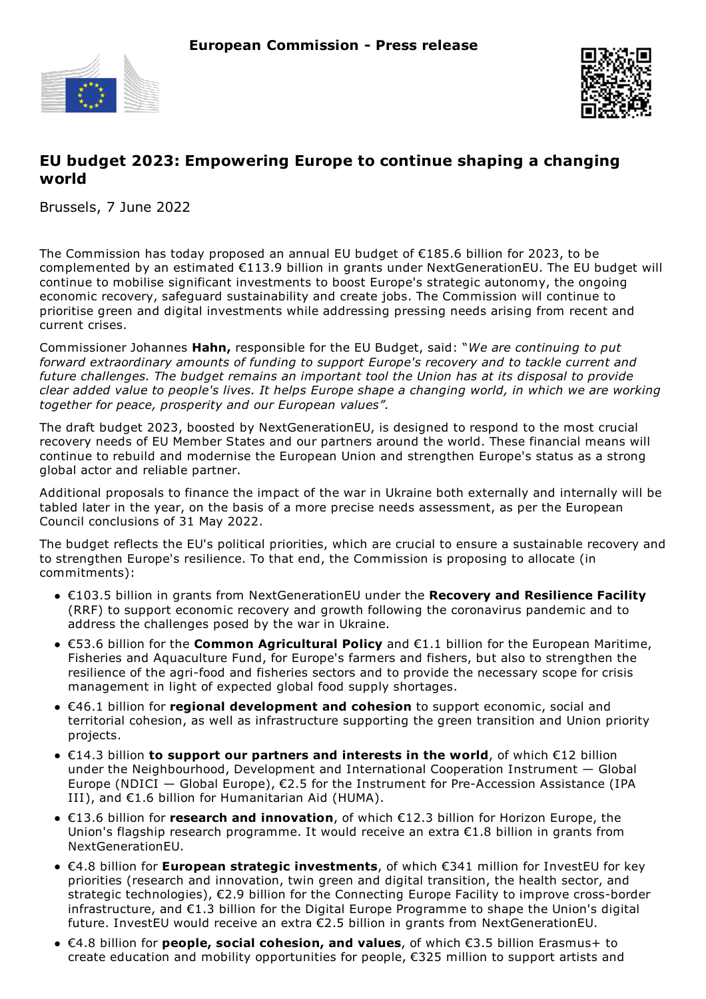



# **EU budget 2023: Empowering Europe to continue shaping a changing world**

Brussels, 7 June 2022

The Commission has today proposed an annual EU budget of €185.6 billion for 2023, to be complemented by an estimated €113.9 billion in grants under NextGenerationEU. The EU budget will continue to mobilise significant investments to boost Europe's strategic autonomy, the ongoing economic recovery, safeguard sustainability and create jobs. The Commission will continue to prioritise green and digital investments while addressing pressing needs arising from recent and current crises.

Commissioner Johannes **Hahn,** responsible for the EU Budget, said: "*We are continuing to put forward extraordinary amounts of funding to support Europe's recovery and to tackle current and future challenges. The budget remains an important tool the Union has at its disposal to provide* clear added value to people's lives. It helps Europe shape a changing world, in which we are working *together for peace, prosperity and our European values".*

The draft budget 2023, boosted by NextGenerationEU, is designed to respond to the most crucial recovery needs of EU Member States and our partners around the world. These financial means will continue to rebuild and modernise the European Union and strengthen Europe's status as a strong global actor and reliable partner.

Additional proposals to finance the impact of the war in Ukraine both externally and internally will be tabled later in the year, on the basis of a more precise needs assessment, as per the European Council conclusions of 31 May 2022.

The budget reflects the EU's political priorities, which are crucial to ensure a sustainable recovery and to strengthen Europe's resilience. To that end, the Commission is proposing to allocate (in commitments):

- €103.5 billion in grants from NextGenerationEU under the **Recovery and Resilience Facility** (RRF) to support economic recovery and growth following the coronavirus pandemic and to address the challenges posed by the war in Ukraine.
- €53.6 billion for the **Common Agricultural Policy** and €1.1 billion for the European Maritime, Fisheries and Aquaculture Fund, for Europe's farmers and fishers, but also to strengthen the resilience of the agri-food and fisheries sectors and to provide the necessary scope for crisis management in light of expected global food supply shortages.
- €46.1 billion for **regional development and cohesion** to support economic, social and territorial cohesion, as well as infrastructure supporting the green transition and Union priority projects.
- €14.3 billion **to support our partners and interests in the world**, of which €12 billion under the Neighbourhood, Development and International Cooperation Instrument — Global Europe (NDICI  $-$  Global Europe),  $\epsilon$ 2.5 for the Instrument for Pre-Accession Assistance (IPA III), and €1.6 billion for Humanitarian Aid (HUMA).
- €13.6 billion for **research and innovation**, of which €12.3 billion for Horizon Europe, the Union's flagship research programme. It would receive an extra €1.8 billion in grants from NextGenerationEU.
- €4.8 billion for **European strategic investments**, of which €341 million for InvestEU for key priorities (research and innovation, twin green and digital transition, the health sector, and strategic technologies), €2.9 billion for the Connecting Europe Facility to improve cross-border infrastructure, and €1.3 billion for the Digital Europe Programme to shape the Union's digital future. InvestEU would receive an extra €2.5 billion in grants from NextGenerationEU.
- €4.8 billion for **people, social cohesion, and values**, of which €3.5 billion Erasmus+ to create education and mobility opportunities for people, €325 million to support artists and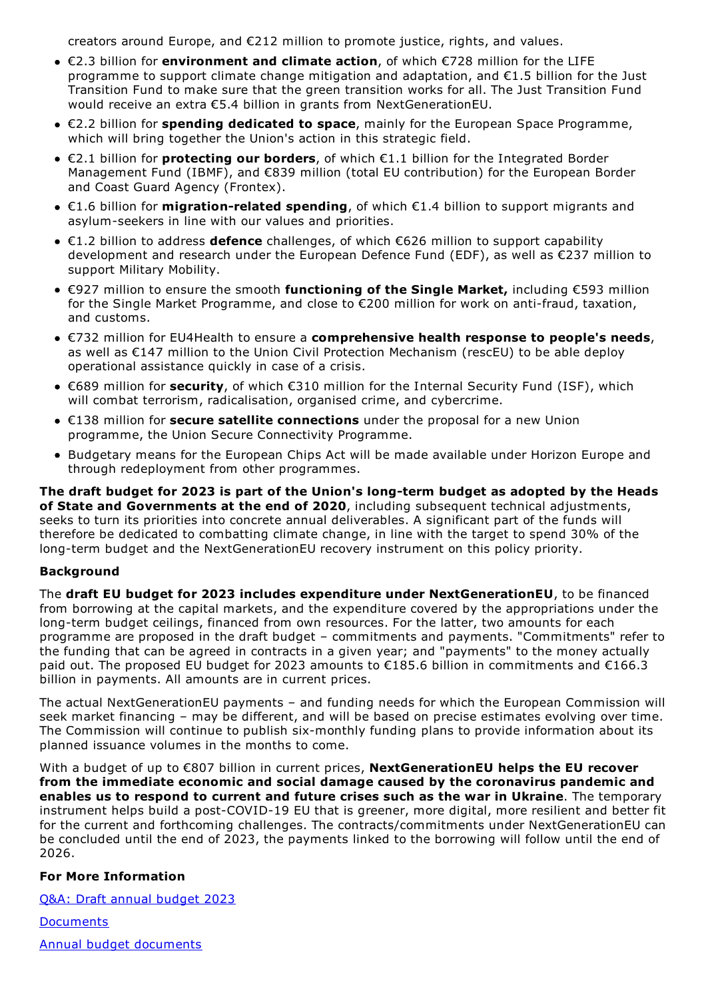creators around Europe, and €212 million to promote justice, rights, and values.

- €2.3 billion for **environment and climate action**, of which €728 million for the LIFE programme to support climate change mitigation and adaptation, and €1.5 billion for the Just Transition Fund to make sure that the green transition works for all. The Just Transition Fund would receive an extra €5.4 billion in grants from NextGenerationEU.
- €2.2 billion for **spending dedicated to space**, mainly for the European Space Programme, which will bring together the Union's action in this strategic field.
- €2.1 billion for **protecting our borders**, of which €1.1 billion for the Integrated Border Management Fund (IBMF), and €839 million (total EU contribution) for the European Border and Coast Guard Agency (Frontex).
- €1.6 billion for **migration-related spending**, of which €1.4 billion to support migrants and asylum-seekers in line with our values and priorities.
- €1.2 billion to address **defence** challenges, of which €626 million to support capability development and research under the European Defence Fund (EDF), as well as €237 million to support Military Mobility.
- €927 million to ensure the smooth **functioning of the Single Market,** including €593 million for the Single Market Programme, and close to €200 million for work on anti-fraud, taxation, and customs.
- €732 million for EU4Health to ensure a **comprehensive health response to people's needs**, as well as €147 million to the Union Civil Protection Mechanism (rescEU) to be able deploy operational assistance quickly in case of a crisis.
- €689 million for **security**, of which €310 million for the Internal Security Fund (ISF), which will combat terrorism, radicalisation, organised crime, and cybercrime.
- €138 million for **secure satellite connections** under the proposal for a new Union programme, the Union Secure Connectivity Programme.
- Budgetary means for the European Chips Act will be made available under Horizon Europe and through redeployment from other programmes.

**The draft budget for 2023 is part of the Union's long-term budget as adopted by the Heads of State and Governments at the end of 2020**, including subsequent technical adjustments, seeks to turn its priorities into concrete annual deliverables. A significant part of the funds will therefore be dedicated to combatting climate change, in line with the target to spend 30% of the long-term budget and the NextGenerationEU recovery instrument on this policy priority.

## **Background**

The **draft EU budget for 2023 includes expenditure under NextGenerationEU**, to be financed from borrowing at the capital markets, and the expenditure covered by the appropriations under the long-term budget ceilings, financed from own resources. For the latter, two amounts for each programme are proposed in the draft budget – commitments and payments. "Commitments" refer to the funding that can be agreed in contracts in a given year; and "payments" to the money actually paid out. The proposed EU budget for 2023 amounts to €185.6 billion in commitments and €166.3 billion in payments. All amounts are in current prices.

The actual NextGenerationEU payments – and funding needs for which the European Commission will seek market financing – may be different, and will be based on precise estimates evolving over time. The Commission will continue to publish six-monthly funding plans to provide information about its planned issuance volumes in the months to come.

With a budget of up to €807 billion in current prices, **NextGenerationEU helps the EU recover from the immediate economic and social damage caused by the coronavirus pandemic and enables us to respond to current and future crises such as the war in Ukraine**. The temporary instrument helps build a post-COVID-19 EU that is greener, more digital, more resilient and better fit for the current and forthcoming challenges. The contracts/commitments under NextGenerationEU can be concluded until the end of 2023, the payments linked to the borrowing will follow until the end of 2026.

#### **For More Information**

Q&A: Draft annual [budget](https://ec.europa.eu/commission/presscorner/detail/en/qanda_22_3474) 2023

**[Documents](https://ec.europa.eu/info/strategy/eu-budget/annual-eu-budget/all-annual-budgets/2023_en)** 

Annual budget [documents](https://eur-lex.europa.eu/budget/www/index-en.htm)